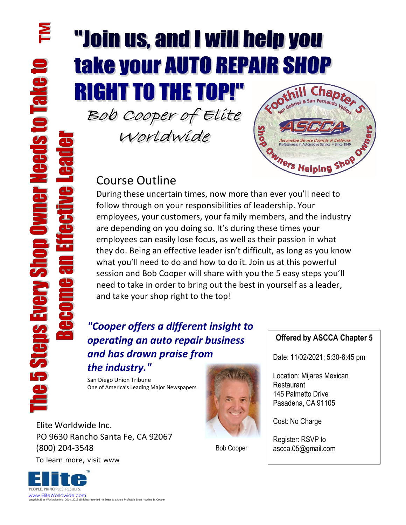# **Thin us, and Ly RIGHT TO THE TOP!"**

Bob Cooper of Elite

Worldwide



## Course Outline

During these uncertain times, now more than ever you'll need to follow through on your responsibilities of leadership. Your employees, your customers, your family members, and the industry are depending on you doing so. It's during these times your employees can easily lose focus, as well as their passion in what they do. Being an effective leader isn't difficult, as long as you know what you'll need to do and how to do it. Join us at this powerful session and Bob Cooper will share with you the 5 easy steps you'll need to take in order to bring out the best in yourself as a leader, and take your shop right to the top!

### *"Cooper offers a different insight to operating an auto repair business and has drawn praise from the industry."*

San Diego Union Tribune One of America's Leading Major Newspapers

 To learn more, visit www Elite Worldwide Inc. PO 9630 Rancho Santa Fe, CA 92067 (800) 204-3548



Bob Cooper

#### **Offered by ASCCA Chapter 5**

Date: 11/02/2021; 5:30-8:45 pm

Location: Mijares Mexican Restaurant 145 Palmetto Drive Pasadena, CA 91105

Cost: No Charge

Register: RSVP to ascca.05@gmail.com